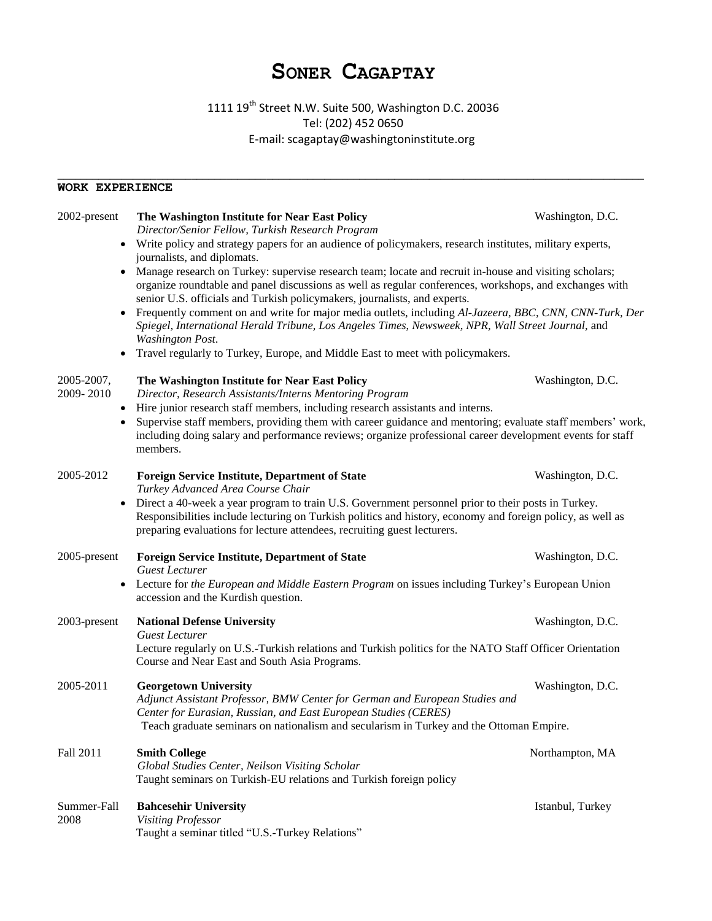## **SONER CAGAPTAY**

1111 19<sup>th</sup> Street N.W. Suite 500, Washington D.C. 20036 Tel: (202) 452 0650 E-mail: scagaptay@washingtoninstitute.org

**\_\_\_\_\_\_\_\_\_\_\_\_\_\_\_\_\_\_\_\_\_\_\_\_\_\_\_\_\_\_\_\_\_\_\_\_\_\_\_\_\_\_\_\_\_\_\_\_\_\_\_\_\_\_\_\_\_\_\_\_\_\_\_\_\_\_\_\_\_\_\_\_\_\_\_\_\_\_\_\_\_\_\_\_\_\_\_\_\_\_\_\_\_\_\_\_\_\_\_\_\_**

## **WORK EXPERIENCE**

| 2002-present            | The Washington Institute for Near East Policy<br>Director/Senior Fellow, Turkish Research Program                                                                                                                                                                                                                    | Washington, D.C. |  |
|-------------------------|----------------------------------------------------------------------------------------------------------------------------------------------------------------------------------------------------------------------------------------------------------------------------------------------------------------------|------------------|--|
| $\bullet$               | Write policy and strategy papers for an audience of policymakers, research institutes, military experts,<br>journalists, and diplomats.                                                                                                                                                                              |                  |  |
| $\bullet$               | Manage research on Turkey: supervise research team; locate and recruit in-house and visiting scholars;<br>organize roundtable and panel discussions as well as regular conferences, workshops, and exchanges with<br>senior U.S. officials and Turkish policymakers, journalists, and experts.                       |                  |  |
| $\bullet$               | Frequently comment on and write for major media outlets, including Al-Jazeera, BBC, CNN, CNN-Turk, Der<br>Spiegel, International Herald Tribune, Los Angeles Times, Newsweek, NPR, Wall Street Journal, and<br><b>Washington Post.</b>                                                                               |                  |  |
| $\bullet$               | Travel regularly to Turkey, Europe, and Middle East to meet with policymakers.                                                                                                                                                                                                                                       |                  |  |
| 2005-2007,<br>2009-2010 | The Washington Institute for Near East Policy<br>Director, Research Assistants/Interns Mentoring Program                                                                                                                                                                                                             | Washington, D.C. |  |
| $\bullet$<br>٠          | Hire junior research staff members, including research assistants and interns.<br>Supervise staff members, providing them with career guidance and mentoring; evaluate staff members' work,<br>including doing salary and performance reviews; organize professional career development events for staff<br>members. |                  |  |
| 2005-2012               | <b>Foreign Service Institute, Department of State</b><br>Turkey Advanced Area Course Chair                                                                                                                                                                                                                           | Washington, D.C. |  |
| ٠                       | Direct a 40-week a year program to train U.S. Government personnel prior to their posts in Turkey.<br>Responsibilities include lecturing on Turkish politics and history, economy and foreign policy, as well as<br>preparing evaluations for lecture attendees, recruiting guest lecturers.                         |                  |  |
| 2005-present            | <b>Foreign Service Institute, Department of State</b><br><b>Guest Lecturer</b>                                                                                                                                                                                                                                       | Washington, D.C. |  |
| $\bullet$               | Lecture for the European and Middle Eastern Program on issues including Turkey's European Union<br>accession and the Kurdish question.                                                                                                                                                                               |                  |  |
| 2003-present            | <b>National Defense University</b><br><b>Guest Lecturer</b>                                                                                                                                                                                                                                                          | Washington, D.C. |  |
|                         | Lecture regularly on U.S.-Turkish relations and Turkish politics for the NATO Staff Officer Orientation<br>Course and Near East and South Asia Programs.                                                                                                                                                             |                  |  |
| 2005-2011               | <b>Georgetown University</b><br>Adjunct Assistant Professor, BMW Center for German and European Studies and<br>Center for Eurasian, Russian, and East European Studies (CERES)                                                                                                                                       | Washington, D.C. |  |
|                         | Teach graduate seminars on nationalism and secularism in Turkey and the Ottoman Empire.                                                                                                                                                                                                                              |                  |  |
| Fall 2011               | <b>Smith College</b><br>Global Studies Center, Neilson Visiting Scholar<br>Taught seminars on Turkish-EU relations and Turkish foreign policy                                                                                                                                                                        | Northampton, MA  |  |
| Summer-Fall<br>2008     | <b>Bahcesehir University</b><br><b>Visiting Professor</b><br>Taught a seminar titled "U.S.-Turkey Relations"                                                                                                                                                                                                         | Istanbul, Turkey |  |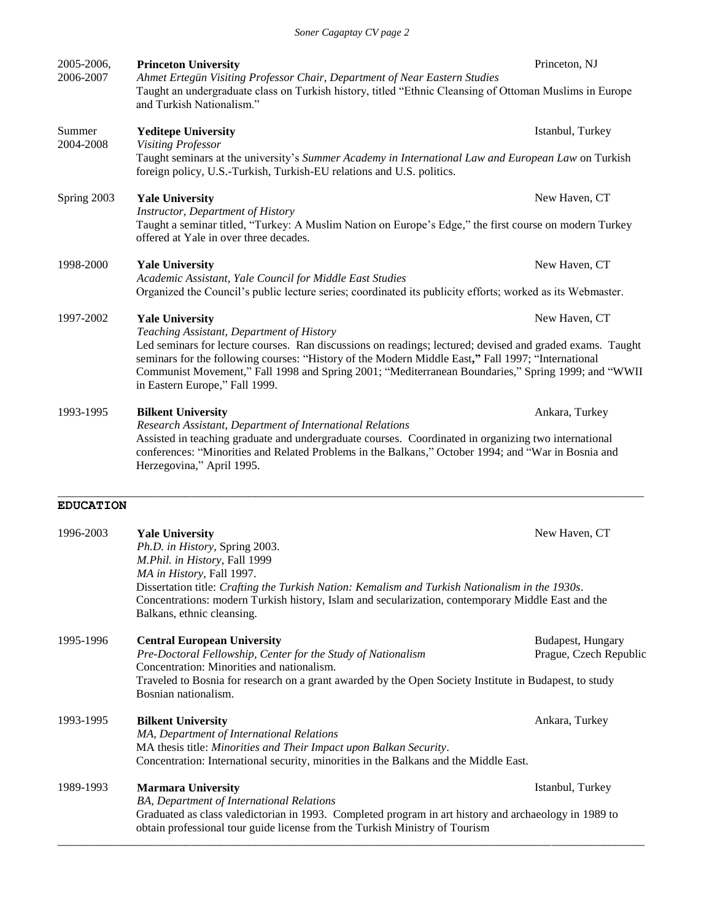Princeton, NJ

*Ahmet Ertegün Visiting Professor Chair, Department of Near Eastern Studies* Taught an undergraduate class on Turkish history, titled "Ethnic Cleansing of Ottoman Muslims in Europe and Turkish Nationalism."

2004-2008 **Yeditepe University** *Visiting Professor* Istanbul, Turkey Taught seminars at the university's *Summer Academy in International Law and European Law* on Turkish

2005-2006, 2006-2007

Summer

Taught a seminar titled, "Turkey: A Muslim Nation on Europe's Edge," the first course on modern Turkey offered at Yale in over three decades.

## 1998-2000 **Yale University** New Haven, CT

*Academic Assistant, Yale Council for Middle East Studies* Organized the Council's public lecture series; coordinated its publicity efforts; worked as its Webmaster.

## 1997-2002 **Yale University** New Haven, CT

*Teaching Assistant, Department of History* Led seminars for lecture courses. Ran discussions on readings; lectured; devised and graded exams. Taught seminars for the following courses: "History of the Modern Middle East**,"** Fall 1997; "International Communist Movement," Fall 1998 and Spring 2001; "Mediterranean Boundaries," Spring 1999; and "WWII in Eastern Europe," Fall 1999.

## 1993-1995 **Bilkent University Ankara, Turkey Ankara, Turkey Ankara**, Turkey

*Research Assistant*, *Department of International Relations* Assisted in teaching graduate and undergraduate courses. Coordinated in organizing two international conferences: "Minorities and Related Problems in the Balkans," October 1994; and "War in Bosnia and Herzegovina," April 1995.

\_\_\_\_\_\_\_\_\_\_\_\_\_\_\_\_\_\_\_\_\_\_\_\_\_\_\_\_\_\_\_\_\_\_\_\_\_\_\_\_\_\_\_\_\_\_\_\_\_\_\_\_\_\_\_\_\_\_\_\_\_\_\_\_\_\_\_\_\_\_\_\_\_\_\_\_\_\_\_\_\_\_\_\_\_\_\_\_\_\_\_\_\_\_\_\_\_\_\_\_\_

### **EDUCATION**

| 1996-2003 | <b>Yale University</b>                                                                                 | New Haven, CT          |  |
|-----------|--------------------------------------------------------------------------------------------------------|------------------------|--|
|           | Ph.D. in History, Spring 2003.                                                                         |                        |  |
|           | M.Phil. in History, Fall 1999                                                                          |                        |  |
|           | MA in History, Fall 1997.                                                                              |                        |  |
|           | Dissertation title: Crafting the Turkish Nation: Kemalism and Turkish Nationalism in the 1930s.        |                        |  |
|           | Concentrations: modern Turkish history, Islam and secularization, contemporary Middle East and the     |                        |  |
|           | Balkans, ethnic cleansing.                                                                             |                        |  |
| 1995-1996 | <b>Central European University</b>                                                                     | Budapest, Hungary      |  |
|           | Pre-Doctoral Fellowship, Center for the Study of Nationalism                                           | Prague, Czech Republic |  |
|           | Concentration: Minorities and nationalism.                                                             |                        |  |
|           | Traveled to Bosnia for research on a grant awarded by the Open Society Institute in Budapest, to study |                        |  |
|           | Bosnian nationalism.                                                                                   |                        |  |
| 1993-1995 | <b>Bilkent University</b>                                                                              | Ankara, Turkey         |  |
|           | MA, Department of International Relations                                                              |                        |  |
|           | MA thesis title: Minorities and Their Impact upon Balkan Security.                                     |                        |  |
|           | Concentration: International security, minorities in the Balkans and the Middle East.                  |                        |  |
| 1989-1993 | <b>Marmara University</b>                                                                              | Istanbul, Turkey       |  |
|           | BA, Department of International Relations                                                              |                        |  |
|           | Graduated as class valedictorian in 1993. Completed program in art history and archaeology in 1989 to  |                        |  |
|           | obtain professional tour guide license from the Turkish Ministry of Tourism                            |                        |  |
|           |                                                                                                        |                        |  |

## **Princeton University**

# foreign policy, U.S.-Turkish, Turkish-EU relations and U.S. politics. Spring 2003 **Yale University** New Haven, CT

*Instructor*, *Department of History*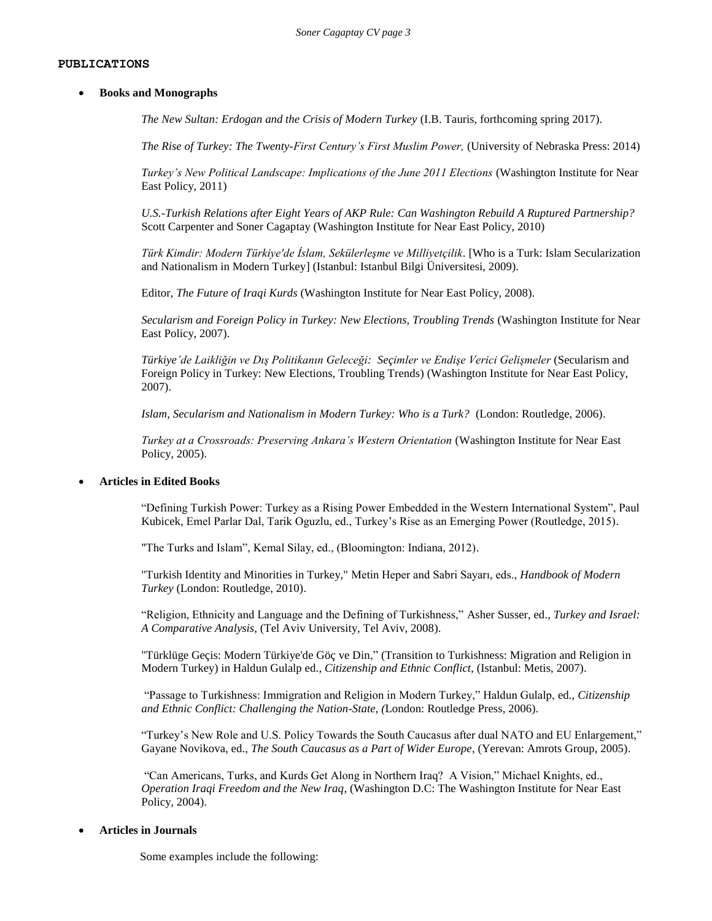#### **PUBLICATIONS**

#### **Books and Monographs**

*The New Sultan: Erdogan and the Crisis of Modern Turkey* (I.B. Tauris, forthcoming spring 2017).

*The Rise of Turkey: The Twenty-First Century's First Muslim Power,* (University of Nebraska Press: 2014)

*Turkey's New Political Landscape: Implications of the June 2011 Elections* (Washington Institute for Near East Policy, 2011)

*U.S.-Turkish Relations after Eight Years of AKP Rule: Can Washington Rebuild A Ruptured Partnership?* Scott Carpenter and Soner Cagaptay (Washington Institute for Near East Policy, 2010)

*Türk Kimdir: Modern Türkiye'de İslam, Sekülerleşme ve Milliyetçilik*. [Who is a Turk: Islam Secularization and Nationalism in Modern Turkey] (Istanbul: Istanbul Bilgi Üniversitesi, 2009).

Editor, *The Future of Iraqi Kurds* (Washington Institute for Near East Policy, 2008)*.* 

*Secularism and Foreign Policy in Turkey: New Elections, Troubling Trends* (Washington Institute for Near East Policy, 2007).

*Türkiye'de Laikliğin ve Dış Politikanın Geleceği: Seçimler ve Endişe Verici Gelişmeler* (Secularism and Foreign Policy in Turkey: New Elections, Troubling Trends) (Washington Institute for Near East Policy, 2007).

*Islam, Secularism and Nationalism in Modern Turkey: Who is a Turk?* (London: Routledge, 2006).

*Turkey at a Crossroads: Preserving Ankara's Western Orientation* (Washington Institute for Near East Policy, 2005).

#### **Articles in Edited Books**

"Defining Turkish Power: Turkey as a Rising Power Embedded in the Western International System", Paul Kubicek, Emel Parlar Dal, Tarik Oguzlu, ed., Turkey's Rise as an Emerging Power (Routledge, 2015).

"The Turks and Islam", Kemal Silay, ed., (Bloomington: Indiana, 2012).

"Turkish Identity and Minorities in Turkey," Metin Heper and Sabri Sayarı, eds., *Handbook of Modern Turkey* (London: Routledge, 2010).

"Religion, Ethnicity and Language and the Defining of Turkishness," Asher Susser, ed., *Turkey and Israel: A Comparative Analysis*, (Tel Aviv University, Tel Aviv, 2008).

"Türklüge Geçis: Modern Türkiye'de Göç ve Din," (Transition to Turkishness: Migration and Religion in Modern Turkey) in Haldun Gulalp ed., *Citizenship and Ethnic Conflict*, (Istanbul: Metis, 2007).

"Passage to Turkishness: Immigration and Religion in Modern Turkey," Haldun Gulalp, ed., *Citizenship and Ethnic Conflict: Challenging the Nation-State, (*London: Routledge Press, 2006).

"Turkey's New Role and U.S. Policy Towards the South Caucasus after dual NATO and EU Enlargement," Gayane Novikova, ed., *The South Caucasus as a Part of Wider Europe*, (Yerevan: Amrots Group, 2005).

"Can Americans, Turks, and Kurds Get Along in Northern Iraq? A Vision," Michael Knights, ed., *Operation Iraqi Freedom and the New Iraq*, (Washington D.C: The Washington Institute for Near East Policy, 2004).

#### **Articles in Journals**

Some examples include the following: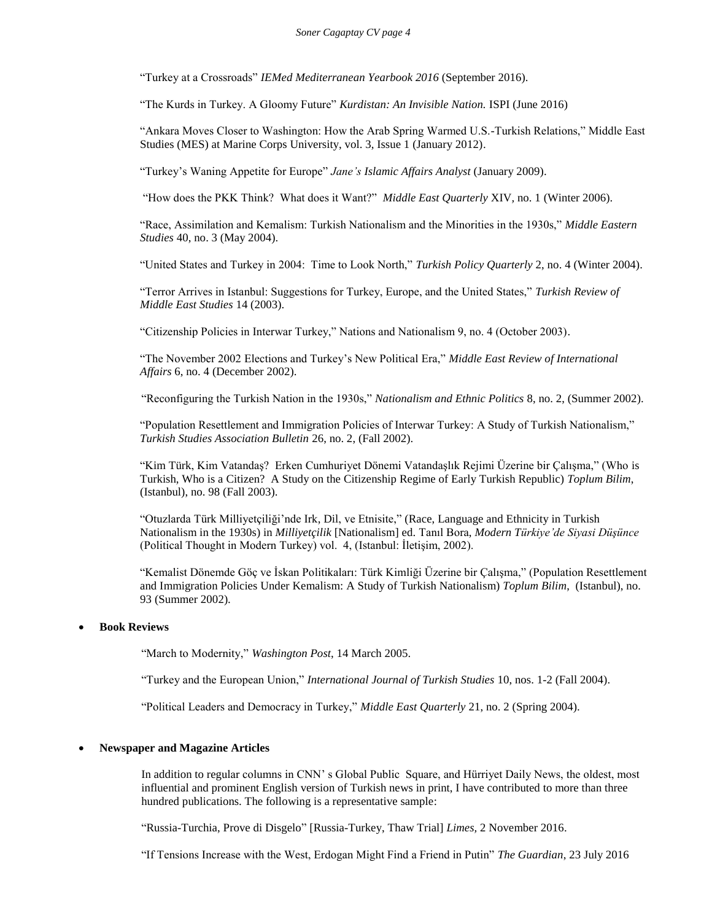"Turkey at a Crossroads" *IEMed Mediterranean Yearbook 2016* (September 2016).

"The Kurds in Turkey. A Gloomy Future" *Kurdistan: An Invisible Nation.* ISPI (June 2016)

"Ankara Moves Closer to Washington: How the Arab Spring Warmed U.S.-Turkish Relations," Middle East Studies (MES) at Marine Corps University, vol. 3, Issue 1 (January 2012).

"Turkey's Waning Appetite for Europe" *Jane's Islamic Affairs Analyst* (January 2009).

"How does the PKK Think? What does it Want?" *Middle East Quarterly* XIV*,* no. 1 (Winter 2006).

"Race, Assimilation and Kemalism: Turkish Nationalism and the Minorities in the 1930s," *Middle Eastern Studies* 40, no. 3 (May 2004).

"United States and Turkey in 2004: Time to Look North," *Turkish Policy Quarterly* 2, no. 4 (Winter 2004).

"Terror Arrives in Istanbul: Suggestions for Turkey, Europe, and the United States," *Turkish Review of Middle East Studies* 14 (2003).

"Citizenship Policies in Interwar Turkey," Nations and Nationalism 9, no. 4 (October 2003).

"The November 2002 Elections and Turkey's New Political Era," *Middle East Review of International Affairs* 6, no. 4 (December 2002).

"Reconfiguring the Turkish Nation in the 1930s," *Nationalism and Ethnic Politics* 8, no. 2, (Summer 2002).

"Population Resettlement and Immigration Policies of Interwar Turkey: A Study of Turkish Nationalism," *Turkish Studies Association Bulletin* 26, no. 2, (Fall 2002).

"Kim Türk, Kim Vatandaş? Erken Cumhuriyet Dönemi Vatandaşlık Rejimi Üzerine bir Çalışma," (Who is Turkish, Who is a Citizen? A Study on the Citizenship Regime of Early Turkish Republic) *Toplum Bilim*, (Istanbul), no. 98 (Fall 2003).

"Otuzlarda Türk Milliyetçiliği'nde Irk, Dil, ve Etnisite," (Race, Language and Ethnicity in Turkish Nationalism in the 1930s) in *Milliyetçilik* [Nationalism] ed. Tanıl Bora, *Modern Türkiye'de Siyasi Düşünce* (Political Thought in Modern Turkey) vol. 4, (Istanbul: İletişim, 2002).

"Kemalist Dönemde Göç ve İskan Politikaları: Türk Kimliği Üzerine bir Çalışma," (Population Resettlement and Immigration Policies Under Kemalism: A Study of Turkish Nationalism) *Toplum Bilim*, (Istanbul), no. 93 (Summer 2002).

## **Book Reviews**

"March to Modernity," *Washington Post*, 14 March 2005.

"Turkey and the European Union," *International Journal of Turkish Studies* 10, nos. 1-2 (Fall 2004).

"Political Leaders and Democracy in Turkey," *Middle East Quarterly* 21, no. 2 (Spring 2004).

#### **Newspaper and Magazine Articles**

In addition to regular columns in CNN' s Global Public Square, and Hürriyet Daily News, the oldest, most influential and prominent English version of Turkish news in print, I have contributed to more than three hundred publications. The following is a representative sample:

"Russia-Turchia, Prove di Disgelo" [Russia-Turkey, Thaw Trial] *Limes,* 2 November 2016.

"If Tensions Increase with the West, Erdogan Might Find a Friend in Putin" *The Guardian*, 23 July 2016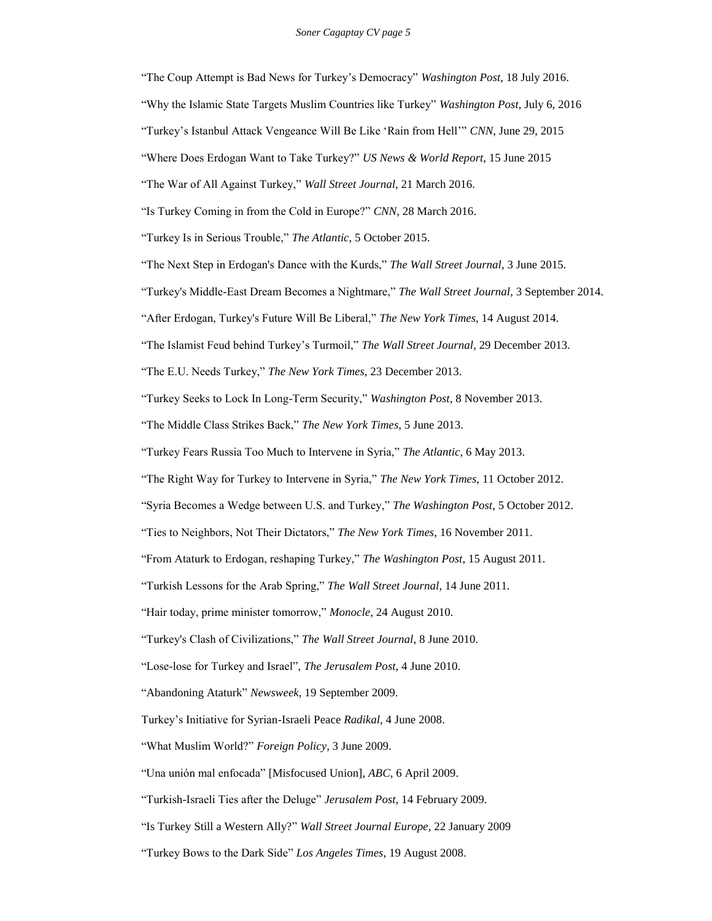"The Coup Attempt is Bad News for Turkey's Democracy" *Washington Post*, 18 July 2016. "Why the Islamic State Targets Muslim Countries like Turkey" *Washington Post*, July 6, 2016 "Turkey's Istanbul Attack Vengeance Will Be Like 'Rain from Hell'" *CNN*, June 29, 2015 "Where Does Erdogan Want to Take Turkey?" *US News & World Report*, 15 June 2015 "The War of All Against Turkey," *Wall Street Journal*, 21 March 2016. "Is Turkey Coming in from the Cold in Europe?" *CNN*, 28 March 2016. "Turkey Is in Serious Trouble," *The Atlantic*, 5 October 2015. "The Next Step in Erdogan's Dance with the Kurds," *The Wall Street Journal*, 3 June 2015. "Turkey's Middle-East Dream Becomes a Nightmare," *The Wall Street Journal*, 3 September 2014. "After Erdogan, Turkey's Future Will Be Liberal," *The New York Times*, 14 August 2014. "The Islamist Feud behind Turkey's Turmoil," *The Wall Street Journal*, 29 December 2013. "The E.U. Needs Turkey," *The New York Times*, 23 December 2013. "Turkey Seeks to Lock In Long-Term Security," *Washington Post*, 8 November 2013. "The Middle Class Strikes Back," *The New York Times*, 5 June 2013. "Turkey Fears Russia Too Much to Intervene in Syria," *The Atlantic*, 6 May 2013. "The Right Way for Turkey to Intervene in Syria," *The New York Times*, 11 October 2012. "Syria Becomes a Wedge between U.S. and Turkey," *The Washington Post*, 5 October 2012. "Ties to Neighbors, Not Their Dictators," *The New York Times*, 16 November 2011. "From Ataturk to Erdogan, reshaping Turkey," *The Washington Post*, 15 August 2011. "Turkish Lessons for the Arab Spring," *The Wall Street Journal*, 14 June 2011. "Hair today, prime minister tomorrow," *Monocle*, 24 August 2010. "Turkey's Clash of Civilizations," *The Wall Street Journal*, 8 June 2010. "Lose-lose for Turkey and Israel", *The Jerusalem Post*, 4 June 2010.

"Abandoning Ataturk" *Newsweek*, 19 September 2009.

Turkey's Initiative for Syrian-Israeli Peace *Radikal*, 4 June 2008.

"What Muslim World?" *Foreign Policy*, 3 June 2009.

"Una unión mal enfocada" [Misfocused Union], *ABC*, 6 April 2009.

"Turkish-Israeli Ties after the Deluge" *Jerusalem Post*, 14 February 2009.

"Is Turkey Still a Western Ally?" *Wall Street Journal Europe*, 22 January 2009

"Turkey Bows to the Dark Side" *Los Angeles Times*, 19 August 2008.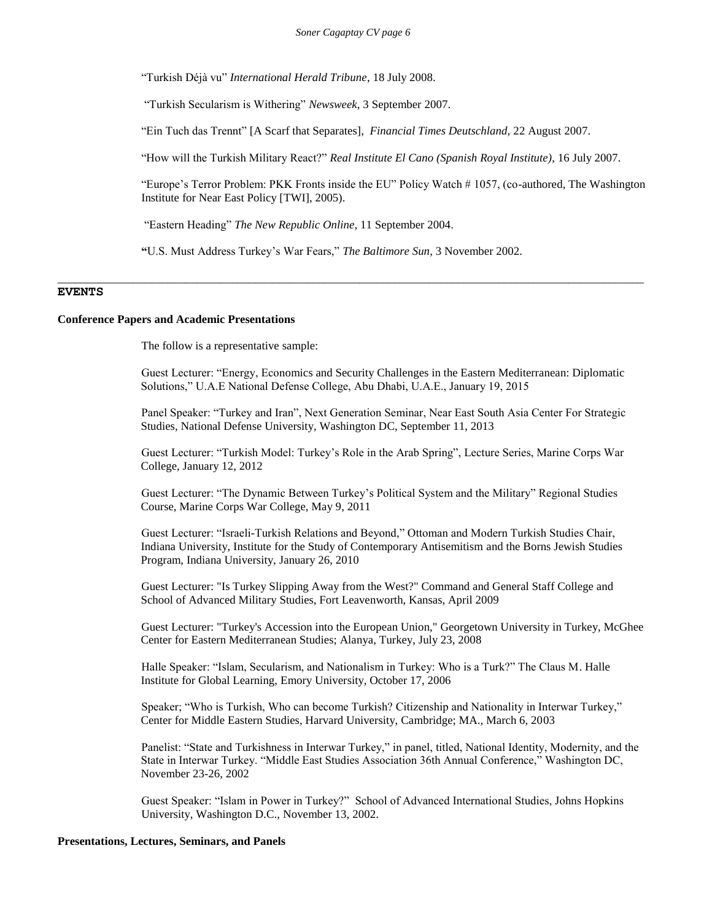"Turkish Déjà vu" *International Herald Tribune*, 18 July 2008.

"Turkish Secularism is Withering" *Newsweek*, 3 September 2007.

"Ein Tuch das Trennt" [A Scarf that Separates], *Financial Times Deutschland,* 22 August 2007.

"How will the Turkish Military React?" *Real Institute El Cano (Spanish Royal Institute)*, 16 July 2007.

"Europe's Terror Problem: PKK Fronts inside the EU" Policy Watch # 1057, (co-authored, The Washington Institute for Near East Policy [TWI], 2005).

"Eastern Heading" *The New Republic Online,* 11 September 2004.

**"**U.S. Must Address Turkey's War Fears," *The Baltimore Sun*, 3 November 2002.

\_\_\_\_\_\_\_\_\_\_\_\_\_\_\_\_\_\_\_\_\_\_\_\_\_\_\_\_\_\_\_\_\_\_\_\_\_\_\_\_\_\_\_\_\_\_\_\_\_\_\_\_\_\_\_\_\_\_\_\_\_\_\_\_\_\_\_\_\_\_\_\_\_\_\_\_\_\_\_\_\_\_\_\_\_\_\_\_\_\_\_\_\_\_\_\_\_\_\_\_\_

## **EVENTS**

#### **Conference Papers and Academic Presentations**

The follow is a representative sample:

Guest Lecturer: "Energy, Economics and Security Challenges in the Eastern Mediterranean: Diplomatic Solutions," U.A.E National Defense College, Abu Dhabi, U.A.E., January 19, 2015

Panel Speaker: "Turkey and Iran", Next Generation Seminar, Near East South Asia Center For Strategic Studies, National Defense University, Washington DC, September 11, 2013

Guest Lecturer: "Turkish Model: Turkey's Role in the Arab Spring", Lecture Series, Marine Corps War College, January 12, 2012

Guest Lecturer: "The Dynamic Between Turkey's Political System and the Military" Regional Studies Course, Marine Corps War College, May 9, 2011

Guest Lecturer: "Israeli-Turkish Relations and Beyond," Ottoman and Modern Turkish Studies Chair, Indiana University, Institute for the Study of Contemporary Antisemitism and the Borns Jewish Studies Program, Indiana University, January 26, 2010

Guest Lecturer: "Is Turkey Slipping Away from the West?" Command and General Staff College and School of Advanced Military Studies, Fort Leavenworth, Kansas, April 2009

Guest Lecturer: "Turkey's Accession into the European Union," Georgetown University in Turkey, McGhee Center for Eastern Mediterranean Studies; Alanya, Turkey, July 23, 2008

Halle Speaker: "Islam, Secularism, and Nationalism in Turkey: Who is a Turk?" The Claus M. Halle Institute for Global Learning, Emory University, October 17, 2006

Speaker; "Who is Turkish, Who can become Turkish? Citizenship and Nationality in Interwar Turkey," Center for Middle Eastern Studies, Harvard University, Cambridge; MA., March 6, 2003

Panelist: "State and Turkishness in Interwar Turkey," in panel, titled, National Identity, Modernity, and the State in Interwar Turkey. "Middle East Studies Association 36th Annual Conference," Washington DC, November 23-26, 2002

Guest Speaker: "Islam in Power in Turkey?" School of Advanced International Studies, Johns Hopkins University, Washington D.C., November 13, 2002.

#### **Presentations, Lectures, Seminars, and Panels**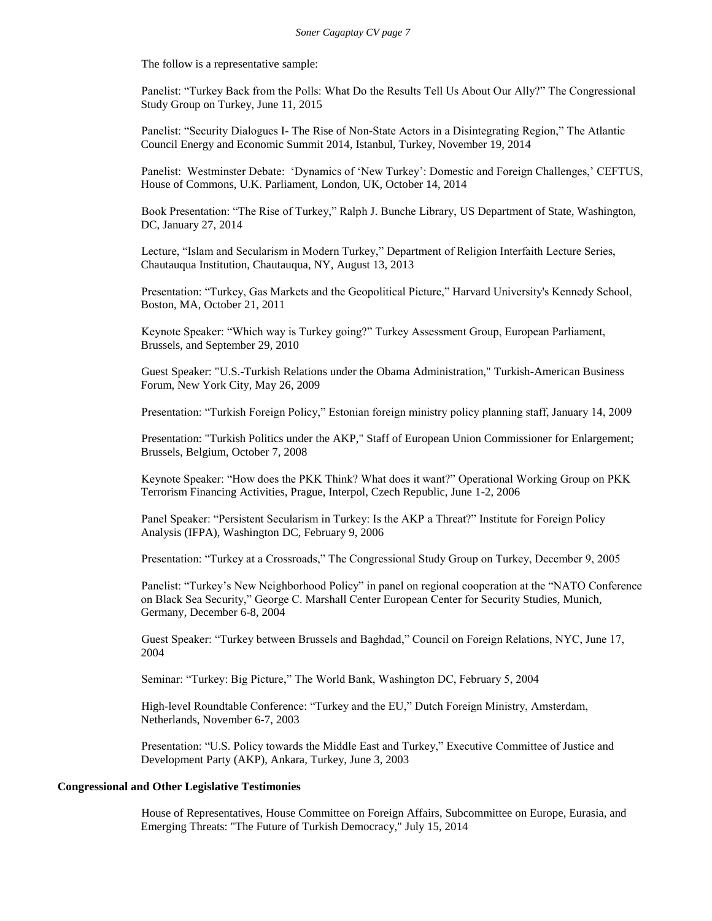The follow is a representative sample:

Panelist: "Turkey Back from the Polls: What Do the Results Tell Us About Our Ally?" The Congressional Study Group on Turkey, June 11, 2015

Panelist: "Security Dialogues I- The Rise of Non-State Actors in a Disintegrating Region," The Atlantic Council Energy and Economic Summit 2014, Istanbul, Turkey, November 19, 2014

Panelist: Westminster Debate: 'Dynamics of 'New Turkey': Domestic and Foreign Challenges,' CEFTUS, House of Commons, U.K. Parliament, London, UK, October 14, 2014

Book Presentation: "The Rise of Turkey," Ralph J. Bunche Library, US Department of State, Washington, DC, January 27, 2014

Lecture, "Islam and Secularism in Modern Turkey," Department of Religion Interfaith Lecture Series, Chautauqua Institution, Chautauqua, NY, August 13, 2013

Presentation: "Turkey, Gas Markets and the Geopolitical Picture," Harvard University's Kennedy School, Boston, MA, October 21, 2011

Keynote Speaker: "Which way is Turkey going?" Turkey Assessment Group, European Parliament, Brussels, and September 29, 2010

Guest Speaker: "U.S.-Turkish Relations under the Obama Administration," Turkish-American Business Forum, New York City, May 26, 2009

Presentation: "Turkish Foreign Policy," Estonian foreign ministry policy planning staff, January 14, 2009

Presentation: "Turkish Politics under the AKP," Staff of European Union Commissioner for Enlargement; Brussels, Belgium, October 7, 2008

Keynote Speaker: "How does the PKK Think? What does it want?" Operational Working Group on PKK Terrorism Financing Activities, Prague, Interpol, Czech Republic, June 1-2, 2006

Panel Speaker: "Persistent Secularism in Turkey: Is the AKP a Threat?" Institute for Foreign Policy Analysis (IFPA), Washington DC, February 9, 2006

Presentation: "Turkey at a Crossroads," The Congressional Study Group on Turkey, December 9, 2005

Panelist: "Turkey's New Neighborhood Policy" in panel on regional cooperation at the "NATO Conference on Black Sea Security," George C. Marshall Center European Center for Security Studies, Munich, Germany, December 6-8, 2004

Guest Speaker: "Turkey between Brussels and Baghdad," Council on Foreign Relations, NYC, June 17, 2004

Seminar: "Turkey: Big Picture," The World Bank, Washington DC, February 5, 2004

High-level Roundtable Conference: "Turkey and the EU," Dutch Foreign Ministry, Amsterdam, Netherlands, November 6-7, 2003

Presentation: "U.S. Policy towards the Middle East and Turkey," Executive Committee of Justice and Development Party (AKP), Ankara, Turkey, June 3, 2003

## **Congressional and Other Legislative Testimonies**

House of Representatives, House Committee on Foreign Affairs, Subcommittee on Europe, Eurasia, and Emerging Threats: "The Future of Turkish Democracy," July 15, 2014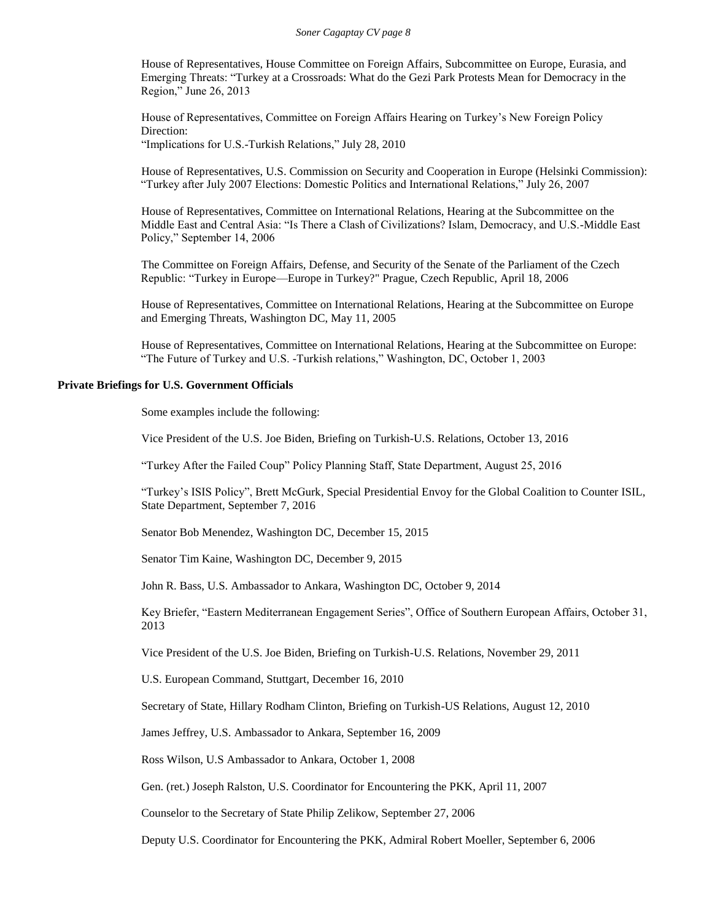House of Representatives, House Committee on Foreign Affairs, Subcommittee on Europe, Eurasia, and Emerging Threats: "Turkey at a Crossroads: What do the Gezi Park Protests Mean for Democracy in the Region," June 26, 2013

House of Representatives, Committee on Foreign Affairs Hearing on Turkey's New Foreign Policy Direction:

"Implications for U.S.-Turkish Relations," July 28, 2010

House of Representatives, U.S. Commission on Security and Cooperation in Europe (Helsinki Commission): "Turkey after July 2007 Elections: Domestic Politics and International Relations," July 26, 2007

House of Representatives, Committee on International Relations, Hearing at the Subcommittee on the Middle East and Central Asia: "Is There a Clash of Civilizations? Islam, Democracy, and U.S.-Middle East Policy," September 14, 2006

The Committee on Foreign Affairs, Defense, and Security of the Senate of the Parliament of the Czech Republic: "Turkey in Europe—Europe in Turkey?" Prague, Czech Republic, April 18, 2006

House of Representatives, Committee on International Relations, Hearing at the Subcommittee on Europe and Emerging Threats, Washington DC, May 11, 2005

House of Representatives, Committee on International Relations, Hearing at the Subcommittee on Europe: "The Future of Turkey and U.S. -Turkish relations," Washington, DC, October 1, 2003

#### **Private Briefings for U.S. Government Officials**

Some examples include the following:

Vice President of the U.S. Joe Biden, Briefing on Turkish-U.S. Relations, October 13, 2016

"Turkey After the Failed Coup" Policy Planning Staff, State Department, August 25, 2016

"Turkey's ISIS Policy", Brett McGurk, Special Presidential Envoy for the Global Coalition to Counter ISIL, State Department, September 7, 2016

Senator Bob Menendez, Washington DC, December 15, 2015

Senator Tim Kaine, Washington DC, December 9, 2015

John R. Bass, U.S. Ambassador to Ankara, Washington DC, October 9, 2014

Key Briefer, "Eastern Mediterranean Engagement Series", Office of Southern European Affairs, October 31, 2013

Vice President of the U.S. Joe Biden, Briefing on Turkish-U.S. Relations, November 29, 2011

U.S. European Command, Stuttgart, December 16, 2010

Secretary of State, Hillary Rodham Clinton, Briefing on Turkish-US Relations, August 12, 2010

James Jeffrey, U.S. Ambassador to Ankara, September 16, 2009

Ross Wilson, U.S Ambassador to Ankara, October 1, 2008

Gen. (ret.) Joseph Ralston, U.S. Coordinator for Encountering the PKK, April 11, 2007

Counselor to the Secretary of State Philip Zelikow, September 27, 2006

Deputy U.S. Coordinator for Encountering the PKK, Admiral Robert Moeller, September 6, 2006